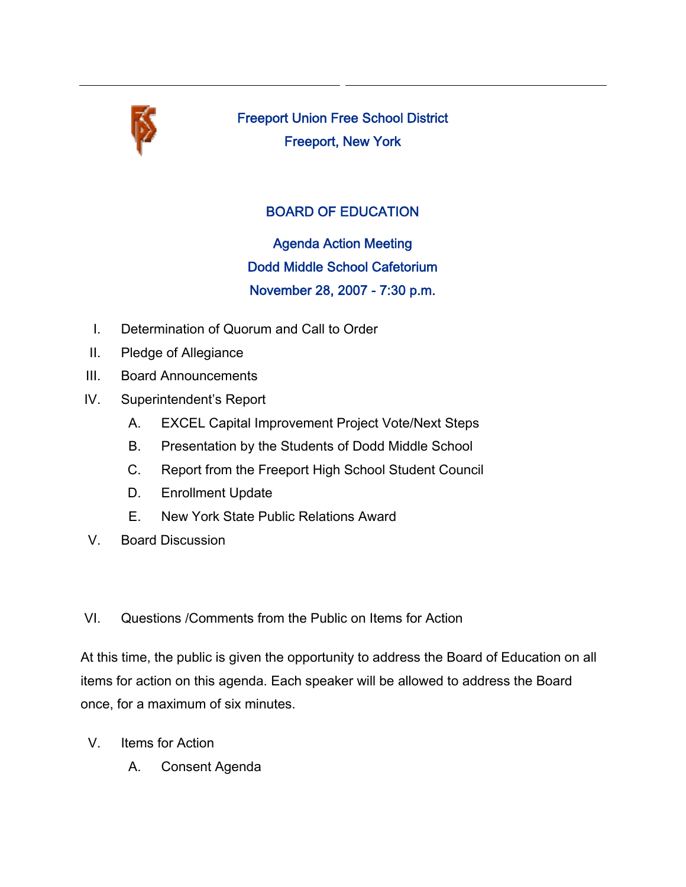

Freeport Union Free School District Freeport, New York

# BOARD OF EDUCATION

Agenda Action Meeting Dodd Middle School Cafetorium November 28, 2007 - 7:30 p.m.

- I. Determination of Quorum and Call to Order
- II. Pledge of Allegiance
- III. Board Announcements
- IV. Superintendent's Report
	- A. EXCEL Capital Improvement Project Vote/Next Steps
	- B. Presentation by the Students of Dodd Middle School
	- C. Report from the Freeport High School Student Council
	- D. Enrollment Update
	- E. New York State Public Relations Award
- V. Board Discussion

## VI. Questions /Comments from the Public on Items for Action

At this time, the public is given the opportunity to address the Board of Education on all items for action on this agenda. Each speaker will be allowed to address the Board once, for a maximum of six minutes.

- V. Items for Action
	- A. Consent Agenda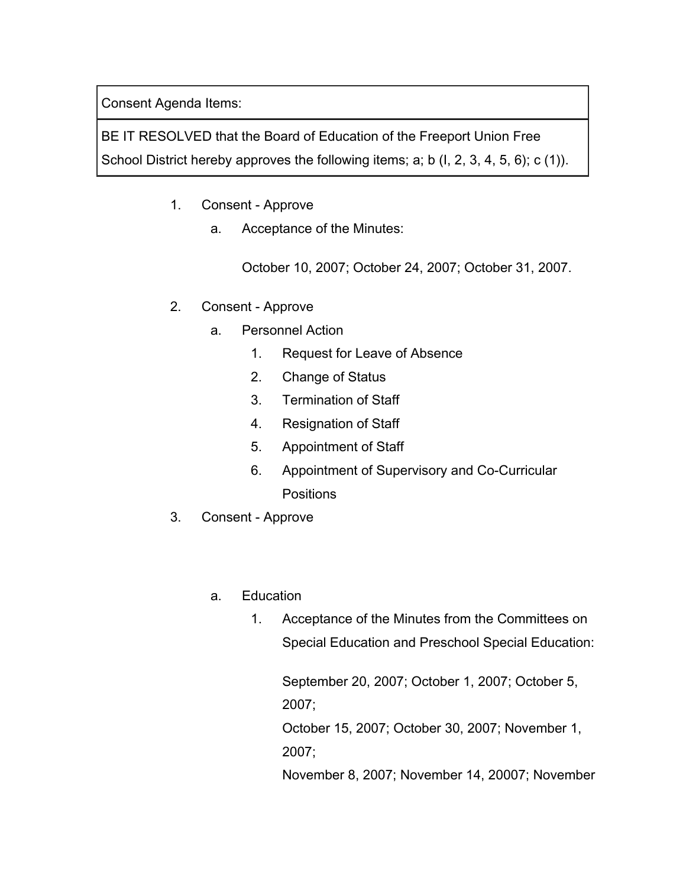Consent Agenda Items:

BE IT RESOLVED that the Board of Education of the Freeport Union Free School District hereby approves the following items; a; b (I, 2, 3, 4, 5, 6); c (1)).

- 1. Consent Approve
	- a. Acceptance of the Minutes:

October 10, 2007; October 24, 2007; October 31, 2007.

- 2. Consent Approve
	- a. Personnel Action
		- 1. Request for Leave of Absence
		- 2. Change of Status
		- 3. Termination of Staff
		- 4. Resignation of Staff
		- 5. Appointment of Staff
		- 6. Appointment of Supervisory and Co-Curricular **Positions**
- 3. Consent Approve
	- a. Education
		- 1. Acceptance of the Minutes from the Committees on Special Education and Preschool Special Education:

September 20, 2007; October 1, 2007; October 5, 2007; October 15, 2007; October 30, 2007; November 1,

2007;

November 8, 2007; November 14, 20007; November